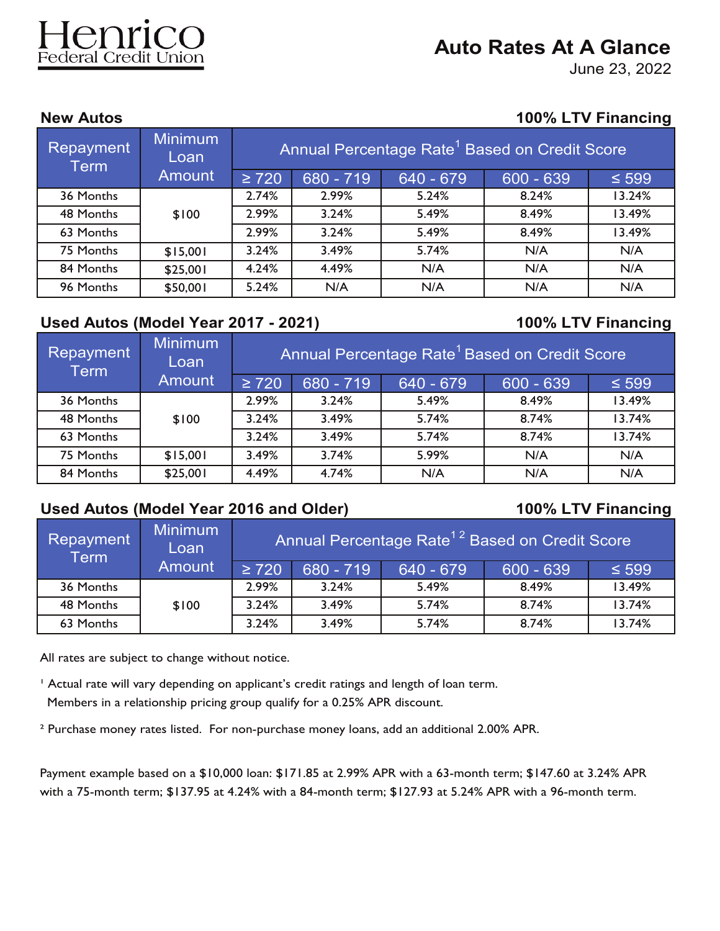# **Auto Rates At A Glance**

June 23, 2022

Federal Credit Union

### **New Autos 100% LTV Financing**

| Repayment<br><b>Term</b> | <b>Minimum</b><br>Loan | Annual Percentage Rate <sup>1</sup> Based on Credit Score |           |           |             |            |  |
|--------------------------|------------------------|-----------------------------------------------------------|-----------|-----------|-------------|------------|--|
|                          | <b>Amount</b>          | $\geq 720$                                                | 680 - 719 | 640 - 679 | $600 - 639$ | $\leq 599$ |  |
| 36 Months                |                        | 2.74%                                                     | 2.99%     | 5.24%     | 8.24%       | 13.24%     |  |
| 48 Months                | \$100                  | 2.99%                                                     | 3.24%     | 5.49%     | 8.49%       | 13.49%     |  |
| 63 Months                |                        | 2.99%                                                     | 3.24%     | 5.49%     | 8.49%       | 13.49%     |  |
| 75 Months                | \$15,001               | 3.24%                                                     | 3.49%     | 5.74%     | N/A         | N/A        |  |
| 84 Months                | \$25,001               | 4.24%                                                     | 4.49%     | N/A       | N/A         | N/A        |  |
| 96 Months                | \$50,001               | 5.24%                                                     | N/A       | N/A       | N/A         | N/A        |  |

## **Used Autos (Model Year 2017 - 2021) 100% LTV Financing**

| <b>Repayment</b><br><b>Term</b> | <b>Minimum</b><br>Loan | Annual Percentage Rate <sup>1</sup> Based on Credit Score |           |           |             |            |
|---------------------------------|------------------------|-----------------------------------------------------------|-----------|-----------|-------------|------------|
|                                 | <b>Amount</b>          | $\geq 720$                                                | 680 - 719 | 640 - 679 | $600 - 639$ | $\leq 599$ |
| 36 Months                       |                        | 2.99%                                                     | 3.24%     | 5.49%     | 8.49%       | 13.49%     |
| 48 Months                       | \$100                  | 3.24%                                                     | 3.49%     | 5.74%     | 8.74%       | 13.74%     |
| 63 Months                       |                        | 3.24%                                                     | 3.49%     | 5.74%     | 8.74%       | 13.74%     |
| 75 Months                       | \$15,001               | 3.49%                                                     | 3.74%     | 5.99%     | N/A         | N/A        |
| 84 Months                       | \$25,001               | 4.49%                                                     | 4.74%     | N/A       | N/A         | N/A        |

## **Used Autos (Model Year 2016 and Older) 100% LTV Financing**

| Repayment<br>Term | Minimum<br>Loan | Annual Percentage Rate <sup>12</sup> Based on Credit Score |             |           |             |            |
|-------------------|-----------------|------------------------------------------------------------|-------------|-----------|-------------|------------|
|                   | <b>Amount</b>   | $\geq$ 720                                                 | $680 - 719$ | 640 - 679 | $600 - 639$ | $\leq 599$ |
| 36 Months         |                 | 2.99%                                                      | 3.24%       | 5.49%     | 8.49%       | 13.49%     |
| 48 Months         | \$100           | 3.24%                                                      | 3.49%       | 5.74%     | 8.74%       | 13.74%     |
| 63 Months         |                 | 3.24%                                                      | 3.49%       | 5.74%     | 8.74%       | 13.74%     |

All rates are subject to change without notice.

<sup>1</sup> Actual rate will vary depending on applicant's credit ratings and length of loan term. Members in a relationship pricing group qualify for a 0.25% APR discount.

² Purchase money rates listed. For non-purchase money loans, add an additional 2.00% APR.

Payment example based on a \$10,000 loan: \$171.85 at 2.99% APR with a 63-month term; \$147.60 at 3.24% APR with a 75-month term; \$137.95 at 4.24% with a 84-month term; \$127.93 at 5.24% APR with a 96-month term.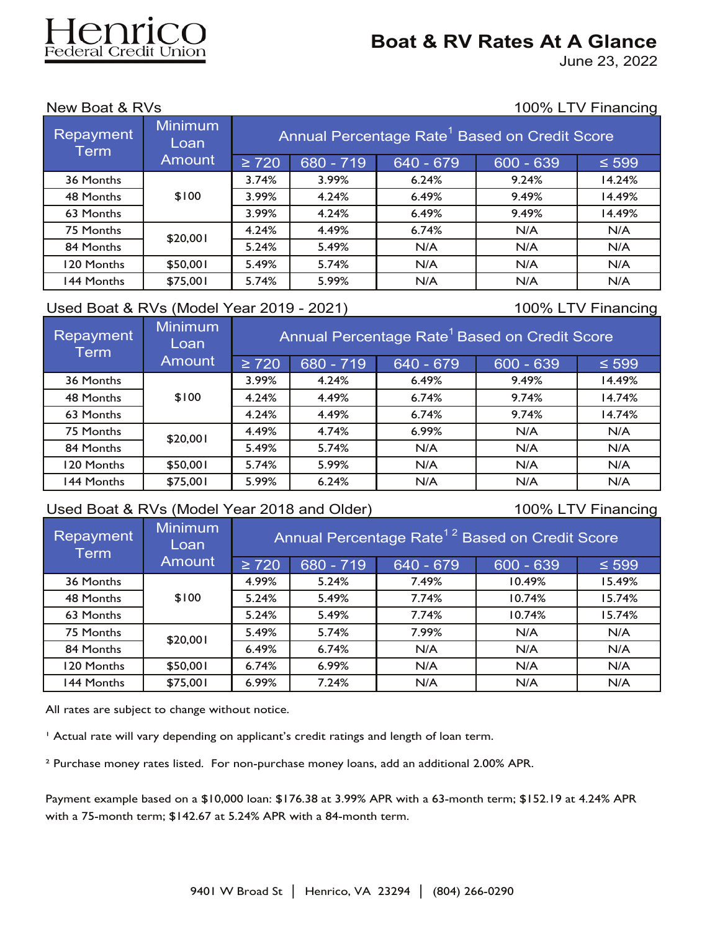# lenri ederal Credit Union

## **Boat & RV Rates At A Glance**

June 23, 2022

New Boat & RVs 100% LTV Financing

| <b>Minimum</b><br>Repayment<br>Loan<br><b>Term</b> |               | Annual Percentage Rate <sup>1</sup> Based on Credit Score |           |           |             |            |  |
|----------------------------------------------------|---------------|-----------------------------------------------------------|-----------|-----------|-------------|------------|--|
|                                                    | <b>Amount</b> | $\geq 720$                                                | 680 - 719 | 640 - 679 | $600 - 639$ | $\leq 599$ |  |
| 36 Months                                          |               | 3.74%                                                     | 3.99%     | 6.24%     | 9.24%       | 14.24%     |  |
| 48 Months                                          | \$100         | 3.99%                                                     | 4.24%     | 6.49%     | 9.49%       | 14.49%     |  |
| 63 Months                                          |               | 3.99%                                                     | 4.24%     | 6.49%     | 9.49%       | 14.49%     |  |
| 75 Months                                          | \$20,001      | 4.24%                                                     | 4.49%     | 6.74%     | N/A         | N/A        |  |
| 84 Months                                          |               | 5.24%                                                     | 5.49%     | N/A       | N/A         | N/A        |  |
| 120 Months                                         | \$50,001      | 5.49%                                                     | 5.74%     | N/A       | N/A         | N/A        |  |
| 144 Months                                         | \$75,001      | 5.74%                                                     | 5.99%     | N/A       | N/A         | N/A        |  |

### Used Boat & RVs (Model Year 2019 - 2021) 100% LTV Financing

| Repayment<br><b>Term</b> | <b>Minimum</b><br>Loan | Annual Percentage Rate <sup>1</sup> Based on Credit Score |           |           |             |            |  |
|--------------------------|------------------------|-----------------------------------------------------------|-----------|-----------|-------------|------------|--|
|                          | <b>Amount</b>          | $\geq 720$                                                | 680 - 719 | 640 - 679 | $600 - 639$ | $\leq 599$ |  |
| 36 Months                |                        | 3.99%                                                     | 4.24%     | 6.49%     | 9.49%       | 14.49%     |  |
| 48 Months                | \$100                  | 4.24%                                                     | 4.49%     | 6.74%     | 9.74%       | 14.74%     |  |
| 63 Months                |                        | 4.24%                                                     | 4.49%     | 6.74%     | 9.74%       | 14.74%     |  |
| 75 Months                | \$20,001               | 4.49%                                                     | 4.74%     | 6.99%     | N/A         | N/A        |  |
| 84 Months                |                        | 5.49%                                                     | 5.74%     | N/A       | N/A         | N/A        |  |
| 120 Months               | \$50,001               | 5.74%                                                     | 5.99%     | N/A       | N/A         | N/A        |  |
| 144 Months               | \$75,001               | 5.99%                                                     | 6.24%     | N/A       | N/A         | N/A        |  |

### Used Boat & RVs (Model Year 2018 and Older) 100% LTV Financing

| Repayment<br><b>Term</b> | <b>Minimum</b><br>Loan | Annual Percentage Rate <sup>12</sup> Based on Credit Score |           |           |             |            |  |
|--------------------------|------------------------|------------------------------------------------------------|-----------|-----------|-------------|------------|--|
|                          | <b>Amount</b>          | $\geq 720$                                                 | 680 - 719 | 640 - 679 | $600 - 639$ | $\leq 599$ |  |
| 36 Months                |                        | 4.99%                                                      | 5.24%     | 7.49%     | 10.49%      | 15.49%     |  |
| 48 Months                | \$100                  | 5.24%                                                      | 5.49%     | 7.74%     | 10.74%      | 15.74%     |  |
| 63 Months                |                        | 5.24%                                                      | 5.49%     | 7.74%     | 10.74%      | 15.74%     |  |
| 75 Months                | \$20,001               | 5.49%                                                      | 5.74%     | 7.99%     | N/A         | N/A        |  |
| 84 Months                |                        | 6.49%                                                      | 6.74%     | N/A       | N/A         | N/A        |  |
| 120 Months               | \$50,001               | 6.74%                                                      | 6.99%     | N/A       | N/A         | N/A        |  |
| 144 Months               | \$75,001               | 6.99%                                                      | 7.24%     | N/A       | N/A         | N/A        |  |

All rates are subject to change without notice.

<sup>1</sup> Actual rate will vary depending on applicant's credit ratings and length of loan term.

² Purchase money rates listed. For non-purchase money loans, add an additional 2.00% APR.

Payment example based on a \$10,000 loan: \$176.38 at 3.99% APR with a 63-month term; \$152.19 at 4.24% APR with a 75-month term; \$142.67 at 5.24% APR with a 84-month term.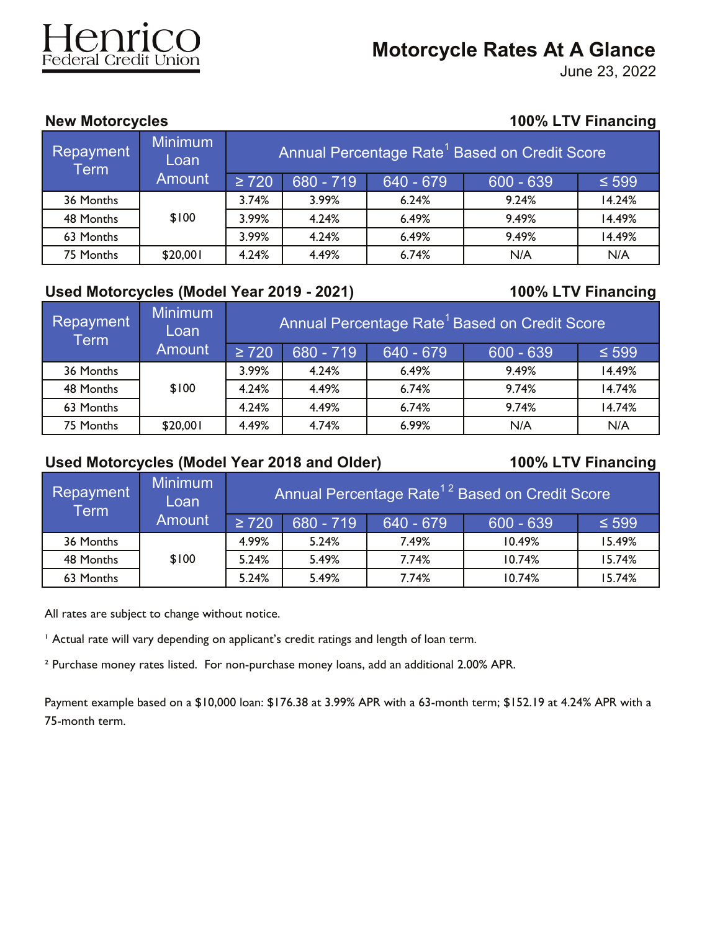# enrico

# **Motorcycle Rates At A Glance**

June 23, 2022

## **New Motorcycles 100% LTV Financing**

| Repayment<br><b>Term</b> | <b>Minimum</b><br>Loan | Annual Percentage Rate <sup>1</sup> Based on Credit Score |           |           |             |            |
|--------------------------|------------------------|-----------------------------------------------------------|-----------|-----------|-------------|------------|
|                          | <b>Amount</b>          | $\geq 720$                                                | 680 - 719 | 640 - 679 | $600 - 639$ | $\leq 599$ |
| 36 Months                |                        | 3.74%                                                     | 3.99%     | 6.24%     | 9.24%       | 14.24%     |
| 48 Months                | \$100                  | 3.99%                                                     | 4.24%     | 6.49%     | 9.49%       | 14.49%     |
| 63 Months                |                        | 3.99%                                                     | 4.24%     | 6.49%     | 9.49%       | 14.49%     |
| 75 Months                | \$20,001               | 4.24%                                                     | 4.49%     | 6.74%     | N/A         | N/A        |

## **Used Motorcycles (Model Year 2019 - 2021) 100% LTV Financing**

| Repayment <sup>1</sup><br><b>Term</b> | Minimum<br>Loan | Annual Percentage Rate <sup>1</sup> Based on Credit Score |           |           |             |            |  |
|---------------------------------------|-----------------|-----------------------------------------------------------|-----------|-----------|-------------|------------|--|
| <b>Amount</b>                         |                 | $\geq 720$                                                | 680 - 719 | 640 - 679 | $600 - 639$ | $\leq 599$ |  |
| 36 Months                             |                 | 3.99%                                                     | 4.24%     | 6.49%     | 9.49%       | 14.49%     |  |
| 48 Months                             | \$100           | 4.24%                                                     | 4.49%     | 6.74%     | 9.74%       | 14.74%     |  |
| 63 Months                             |                 | 4.24%                                                     | 4.49%     | 6.74%     | 9.74%       | 14.74%     |  |
| 75 Months                             | \$20,001        | 4.49%                                                     | 4.74%     | 6.99%     | N/A         | N/A        |  |

## **Used Motorcycles (Model Year 2018 and Older) 100% LTV Financing**

| <b>Repayment</b><br><b>Term</b> | Minimum<br>Loan' |            | Annual Percentage Rate <sup>12</sup> Based on Credit Score |              |             |            |
|---------------------------------|------------------|------------|------------------------------------------------------------|--------------|-------------|------------|
|                                 | <b>Amount</b>    | $\geq 720$ | $680 - 719$                                                | $1640 - 679$ | $600 - 639$ | $\leq 599$ |
| 36 Months                       |                  | 4.99%      | 5.24%                                                      | 7.49%        | 10.49%      | 15.49%     |
| 48 Months                       | \$100            | 5.24%      | 5.49%                                                      | 7.74%        | 10.74%      | 15.74%     |
| 63 Months                       |                  | 5.24%      | 5.49%                                                      | 7.74%        | 10.74%      | 15.74%     |

All rates are subject to change without notice.

<sup>1</sup> Actual rate will vary depending on applicant's credit ratings and length of loan term.

² Purchase money rates listed. For non-purchase money loans, add an additional 2.00% APR.

Payment example based on a \$10,000 loan: \$176.38 at 3.99% APR with a 63-month term; \$152.19 at 4.24% APR with a 75-month term.